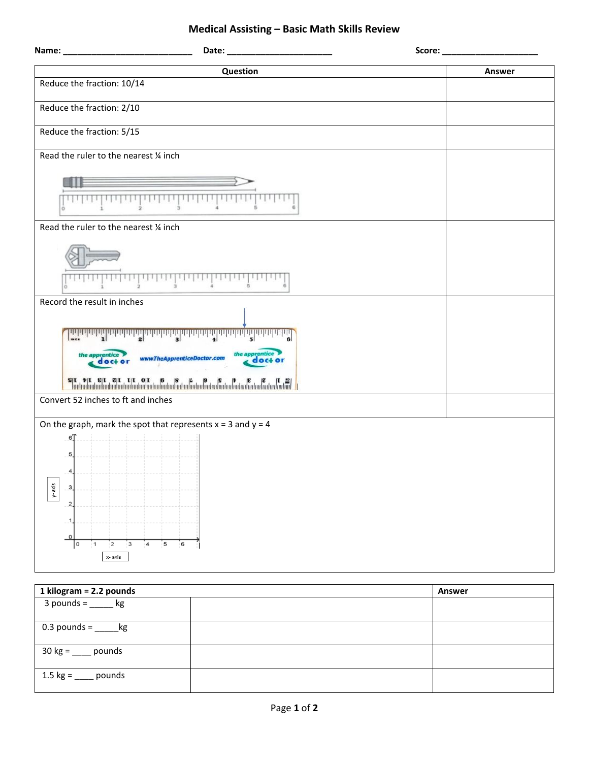## **Medical Assisting – Basic Math Skills Review**

|                                                                                                                                               | Date: _______________________                                                                                                                                                                                                                                                                                                                                                                                                                               | Score: _______________________ |
|-----------------------------------------------------------------------------------------------------------------------------------------------|-------------------------------------------------------------------------------------------------------------------------------------------------------------------------------------------------------------------------------------------------------------------------------------------------------------------------------------------------------------------------------------------------------------------------------------------------------------|--------------------------------|
|                                                                                                                                               | Question                                                                                                                                                                                                                                                                                                                                                                                                                                                    | <b>Answer</b>                  |
| Reduce the fraction: 10/14                                                                                                                    |                                                                                                                                                                                                                                                                                                                                                                                                                                                             |                                |
| Reduce the fraction: 2/10                                                                                                                     |                                                                                                                                                                                                                                                                                                                                                                                                                                                             |                                |
| Reduce the fraction: 5/15                                                                                                                     |                                                                                                                                                                                                                                                                                                                                                                                                                                                             |                                |
| Read the ruler to the nearest 1/4 inch                                                                                                        |                                                                                                                                                                                                                                                                                                                                                                                                                                                             |                                |
|                                                                                                                                               |                                                                                                                                                                                                                                                                                                                                                                                                                                                             |                                |
| Read the ruler to the nearest 1/4 inch                                                                                                        |                                                                                                                                                                                                                                                                                                                                                                                                                                                             |                                |
|                                                                                                                                               | $1$ 1 1 1 1 1                                                                                                                                                                                                                                                                                                                                                                                                                                               |                                |
| Record the result in inches                                                                                                                   |                                                                                                                                                                                                                                                                                                                                                                                                                                                             |                                |
| the apprentice<br>doct or                                                                                                                     | $\frac{1}{2} \frac{1}{2} \left( \frac{1}{2} \frac{1}{2} \left( \frac{1}{2} \frac{1}{2} \frac{1}{2} \frac{1}{2} \frac{1}{2} \frac{1}{2} \frac{1}{2} \frac{1}{2} \frac{1}{2} \frac{1}{2} \frac{1}{2} \frac{1}{2} \frac{1}{2} \frac{1}{2} \frac{1}{2} \frac{1}{2} \frac{1}{2} \frac{1}{2} \frac{1}{2} \frac{1}{2} \frac{1}{2} \frac{1}{2} \frac{1}{2} \frac{1}{2} \frac{1}{2} \frac{1}{2} \frac{1$<br>the apprentice<br>www.TheApprenticeDoctor.com<br>doct or |                                |
|                                                                                                                                               | Convert 52 inches to ft and inches                                                                                                                                                                                                                                                                                                                                                                                                                          |                                |
| 6 <sup>T</sup><br>5<br>4<br>$y$ - axis<br>3<br>$\overline{2}$<br>$\mathbf{1}$<br>$\circ$<br>I٥<br>$\overline{a}$<br>$\overline{1}$<br>x- axis | On the graph, mark the spot that represents $x = 3$ and $y = 4$<br>3<br>5<br>$\overline{4}$<br>6                                                                                                                                                                                                                                                                                                                                                            |                                |

| 1 kilogram = 2.2 pounds       | Answer |
|-------------------------------|--------|
| 3 pounds = $\frac{ }{ }$ kg   |        |
| 0.3 pounds = $\frac{e}{2}$ kg |        |
| $30 \text{ kg} =$ pounds      |        |
| 1.5 kg = $\frac{1}{2}$ pounds |        |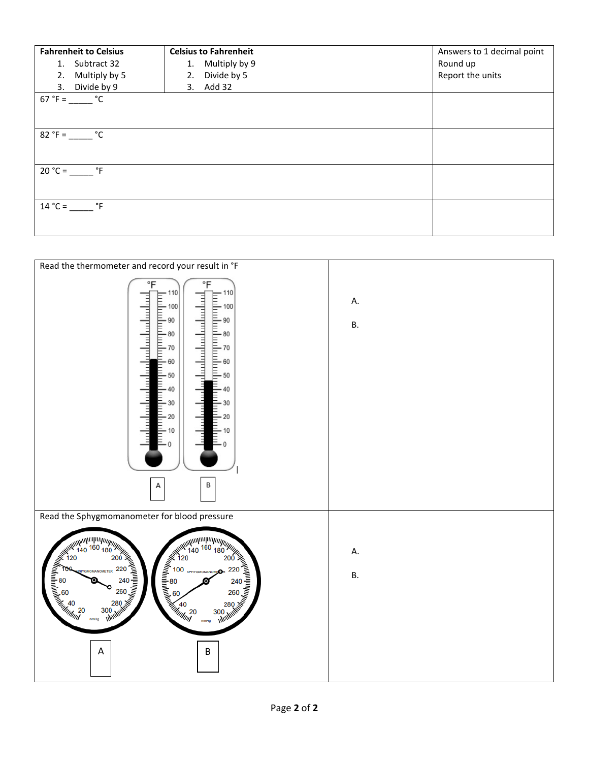| <b>Fahrenheit to Celsius</b> | <b>Celsius to Fahrenheit</b> | Answers to 1 decimal point |
|------------------------------|------------------------------|----------------------------|
| 1. Subtract 32               | 1. Multiply by 9             | Round up                   |
| Multiply by 5<br>2.          | 2. Divide by 5               | Report the units           |
| 3. Divide by 9               | 3. Add 32                    |                            |
| $67 °F =$ $°C$               |                              |                            |
| 82 °F = $\degree$ C          |                              |                            |
| $20 °C = °F$                 |                              |                            |
| $14 °C = °F$                 |                              |                            |

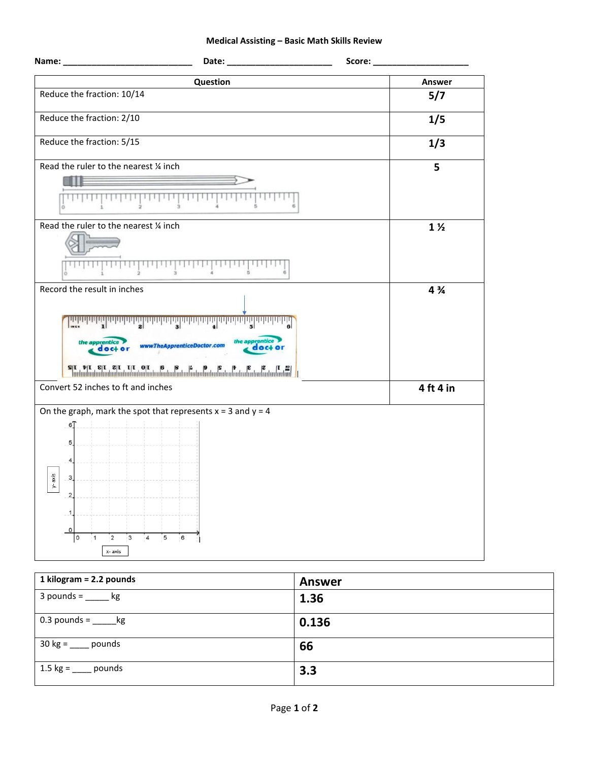## **Medical Assisting – Basic Math Skills Review**

| Name: _                                              |                                                                 | Score: __      |
|------------------------------------------------------|-----------------------------------------------------------------|----------------|
|                                                      | Question                                                        | <b>Answer</b>  |
| Reduce the fraction: 10/14                           |                                                                 | 5/7            |
| Reduce the fraction: 2/10                            | 1/5                                                             |                |
| Reduce the fraction: 5/15                            | 1/3                                                             |                |
| Read the ruler to the nearest 1/4 inch               |                                                                 | 5              |
|                                                      |                                                                 |                |
|                                                      |                                                                 |                |
| Read the ruler to the nearest % inch                 |                                                                 | $1\frac{1}{2}$ |
|                                                      |                                                                 |                |
|                                                      |                                                                 |                |
| Record the result in inches                          |                                                                 | 4 %            |
|                                                      |                                                                 |                |
| INCH                                                 |                                                                 |                |
|                                                      | the apprentice<br>www.TheApprenticeDoctor.com                   |                |
|                                                      |                                                                 |                |
| Convert 52 inches to ft and inches                   |                                                                 | 4 ft 4 in      |
|                                                      | On the graph, mark the spot that represents $x = 3$ and $y = 4$ |                |
| 6 <sup>T</sup>                                       |                                                                 |                |
| 5                                                    |                                                                 |                |
| 4                                                    |                                                                 |                |
| 3                                                    |                                                                 |                |
| - axis<br>≻                                          |                                                                 |                |
| $\overline{\mathbf{c}}$                              |                                                                 |                |
| 1                                                    |                                                                 |                |
| $\circ$<br>$\overline{2}$<br>$\circ$<br>$\mathbf{1}$ | 3<br>5<br>4<br>6                                                |                |
| x- axis                                              |                                                                 |                |
|                                                      |                                                                 |                |

| 1 kilogram = 2.2 pounds          | <b>Answer</b> |
|----------------------------------|---------------|
| $3$ pounds = $\frac{1}{1}$ kg    | 1.36          |
| 0.3 pounds = $\_\_\_\_\$ kg      | 0.136         |
| $30 \text{ kg} =$ _______ pounds | 66            |
| 1.5 $kg =$ pounds                | 3.3           |